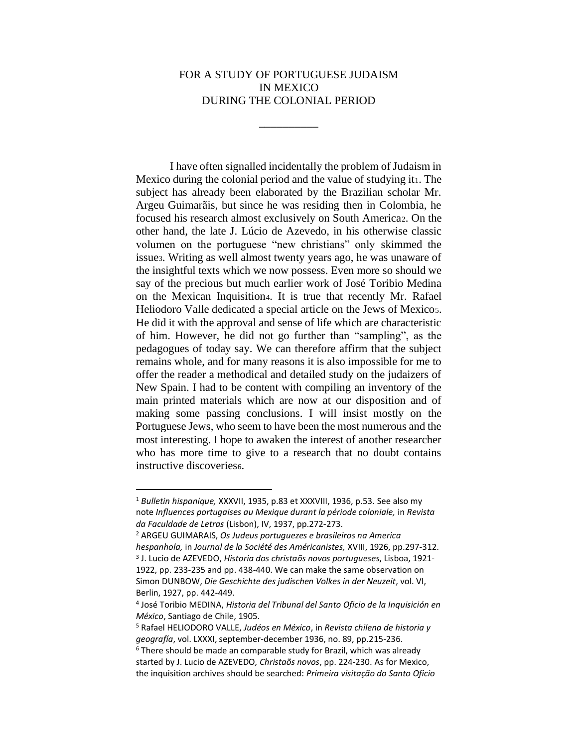## FOR A STUDY OF PORTUGUESE JUDAISM IN MEXICO DURING THE COLONIAL PERIOD

⎯⎯⎯⎯⎯⎯⎯⎯⎯⎯

I have often signalled incidentally the problem of Judaism in Mexico during the colonial period and the value of studying it<sub>1</sub>. The subject has already been elaborated by the Brazilian scholar Mr. Argeu Guimarãis, but since he was residing then in Colombia, he focused his research almost exclusively on South America2. On the other hand, the late J. Lúcio de Azevedo, in his otherwise classic volumen on the portuguese "new christians" only skimmed the issue3. Writing as well almost twenty years ago, he was unaware of the insightful texts which we now possess. Even more so should we say of the precious but much earlier work of José Toribio Medina on the Mexican Inquisition4. It is true that recently Mr. Rafael Heliodoro Valle dedicated a special article on the Jews of Mexico5. He did it with the approval and sense of life which are characteristic of him. However, he did not go further than "sampling", as the pedagogues of today say. We can therefore affirm that the subject remains whole, and for many reasons it is also impossible for me to offer the reader a methodical and detailed study on the judaizers of New Spain. I had to be content with compiling an inventory of the main printed materials which are now at our disposition and of making some passing conclusions. I will insist mostly on the Portuguese Jews, who seem to have been the most numerous and the most interesting. I hope to awaken the interest of another researcher who has more time to give to a research that no doubt contains instructive discoveries<sup>6</sup>.

<sup>2</sup> ARGEU GUIMARAIS, *Os Judeus portuguezes e brasileiros na America hespanhola,* in *Journal de la Société des Américanistes,* XVIII, 1926, pp.297-312. 3 J. Lucio de AZEVEDO, *Historia dos christaõs novos portugueses*, Lisboa, 1921- 1922, pp. 233-235 and pp. 438-440. We can make the same observation on Simon DUNBOW, *Die Geschichte des judischen Volkes in der Neuzeit*, vol. VI, Berlin, 1927, pp. 442-449.

<sup>1</sup> *Bulletin hispanique,* XXXVII, 1935, p.83 et XXXVIII, 1936, p.53. See also my note *Influences portugaises au Mexique durant la période coloniale,* in *Revista da Faculdade de Letras* (Lisbon), IV, 1937, pp.272-273.

<sup>4</sup> José Toribio MEDINA, *Historia del Tribunal del Santo Oficio de la Inquisición en México*, Santiago de Chile, 1905.

<sup>5</sup> Rafael HELIODORO VALLE, *Judéos en México*, in *Revista chilena de historia y geografía*, vol. LXXXI, september-december 1936, no. 89, pp.215-236. <sup>6</sup> There should be made an comparable study for Brazil, which was already started by J. Lucio de AZEVEDO*, Christaõs novos*, pp. 224-230. As for Mexico, the inquisition archives should be searched: *Primeira visitação do Santo Oficio*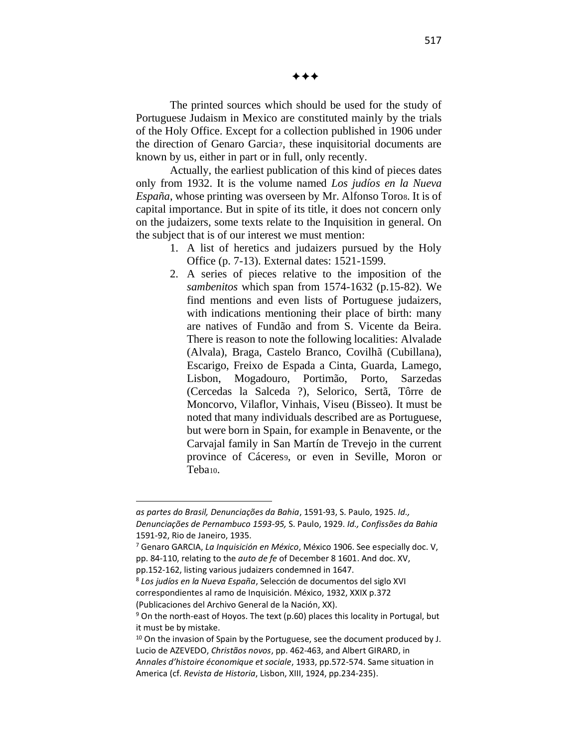✦✦✦

The printed sources which should be used for the study of Portuguese Judaism in Mexico are constituted mainly by the trials of the Holy Office. Except for a collection published in 1906 under the direction of Genaro Garcia7, these inquisitorial documents are known by us, either in part or in full, only recently.

Actually, the earliest publication of this kind of pieces dates only from 1932. It is the volume named *Los judíos en la Nueva España*, whose printing was overseen by Mr. Alfonso Toro8. It is of capital importance. But in spite of its title, it does not concern only on the judaizers, some texts relate to the Inquisition in general. On the subject that is of our interest we must mention:

- 1. A list of heretics and judaizers pursued by the Holy Office (p. 7-13). External dates: 1521-1599.
- 2. A series of pieces relative to the imposition of the *sambenitos* which span from 1574-1632 (p.15-82). We find mentions and even lists of Portuguese judaizers, with indications mentioning their place of birth: many are natives of Fundão and from S. Vicente da Beira. There is reason to note the following localities: Alvalade (Alvala), Braga, Castelo Branco, Covilhã (Cubillana), Escarigo, Freixo de Espada a Cinta, Guarda, Lamego, Lisbon, Mogadouro, Portimão, Porto, Sarzedas (Cercedas la Salceda ?), Selorico, Sertã, Tôrre de Moncorvo, Vilaflor, Vinhais, Viseu (Bisseo). It must be noted that many individuals described are as Portuguese, but were born in Spain, for example in Benavente, or the Carvajal family in San Martín de Trevejo in the current province of Cáceres9, or even in Seville, Moron or Teba10.

*as partes do Brasil, Denunciações da Bahia*, 1591-93, S. Paulo, 1925. *Id., Denunciações de Pernambuco 1593-95,* S. Paulo, 1929. *Id., Confissões da Bahia* 1591-92, Rio de Janeiro, 1935.

<sup>7</sup> Genaro GARCIA, *La Inquisición en México*, México 1906. See especially doc. V, pp. 84-110, relating to the *auto de fe* of December 8 1601. And doc. XV, pp.152-162, listing various judaizers condemned in 1647.

<sup>8</sup> *Los judíos en la Nueva España*, Selección de documentos del siglo XVI correspondientes al ramo de Inquisición. México, 1932, XXIX p.372 (Publicaciones del Archivo General de la Nación, XX).

 $9$  On the north-east of Hoyos. The text (p.60) places this locality in Portugal, but it must be by mistake.

 $10$  On the invasion of Spain by the Portuguese, see the document produced by J. Lucio de AZEVEDO, *Christãos novos*, pp. 462-463, and Albert GIRARD, in

*Annales d'histoire économique et sociale*, 1933, pp.572-574. Same situation in America (cf. *Revista de Historia*, Lisbon, XIII, 1924, pp.234-235).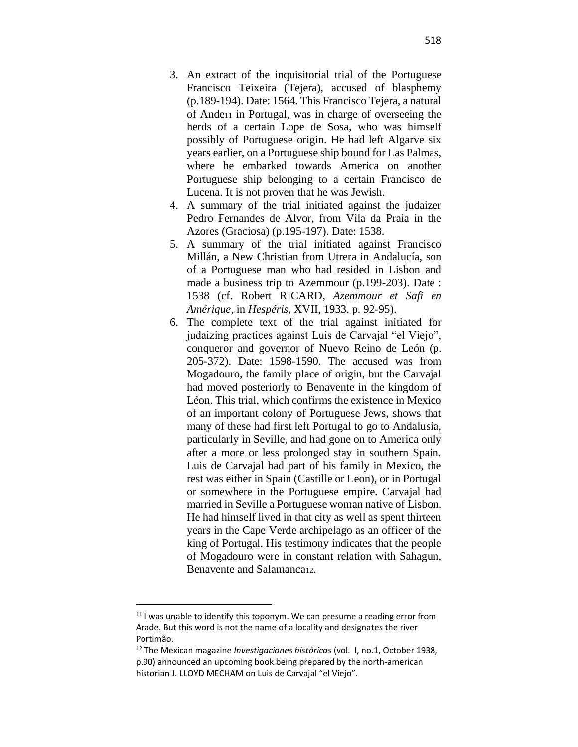- 3. An extract of the inquisitorial trial of the Portuguese Francisco Teixeira (Tejera), accused of blasphemy (p.189-194). Date: 1564. This Francisco Tejera, a natural of Ande<sup>11</sup> in Portugal, was in charge of overseeing the herds of a certain Lope de Sosa, who was himself possibly of Portuguese origin. He had left Algarve six years earlier, on a Portuguese ship bound for Las Palmas, where he embarked towards America on another Portuguese ship belonging to a certain Francisco de Lucena. It is not proven that he was Jewish.
- 4. A summary of the trial initiated against the judaizer Pedro Fernandes de Alvor, from Vila da Praia in the Azores (Graciosa) (p.195-197). Date: 1538.
- 5. A summary of the trial initiated against Francisco Millán, a New Christian from Utrera in Andalucía, son of a Portuguese man who had resided in Lisbon and made a business trip to Azemmour (p.199-203). Date : 1538 (cf. Robert RICARD, *Azemmour et Safi en Amérique*, in *Hespéris*, XVII, 1933, p. 92-95).
- 6. The complete text of the trial against initiated for judaizing practices against Luis de Carvajal "el Viejo", conqueror and governor of Nuevo Reino de León (p. 205-372). Date: 1598-1590. The accused was from Mogadouro, the family place of origin, but the Carvajal had moved posteriorly to Benavente in the kingdom of Léon. This trial, which confirms the existence in Mexico of an important colony of Portuguese Jews, shows that many of these had first left Portugal to go to Andalusia, particularly in Seville, and had gone on to America only after a more or less prolonged stay in southern Spain. Luis de Carvajal had part of his family in Mexico, the rest was either in Spain (Castille or Leon), or in Portugal or somewhere in the Portuguese empire. Carvajal had married in Seville a Portuguese woman native of Lisbon. He had himself lived in that city as well as spent thirteen years in the Cape Verde archipelago as an officer of the king of Portugal. His testimony indicates that the people of Mogadouro were in constant relation with Sahagun, Benavente and Salamanca12.

 $11$  I was unable to identify this toponym. We can presume a reading error from Arade. But this word is not the name of a locality and designates the river Portimão.

<sup>12</sup> The Mexican magazine *Investigaciones históricas* (vol. I, no.1, October 1938, p.90) announced an upcoming book being prepared by the north-american historian J. LLOYD MECHAM on Luis de Carvajal "el Viejo".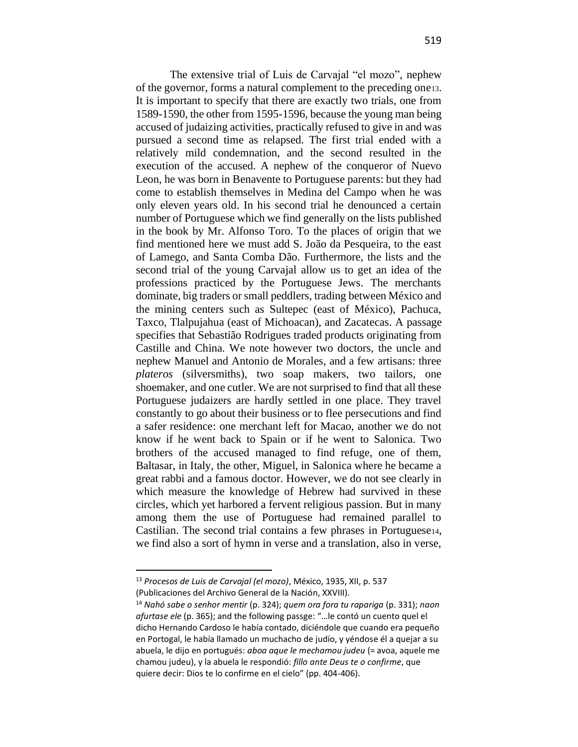The extensive trial of Luis de Carvajal "el mozo", nephew of the governor, forms a natural complement to the preceding one13. It is important to specify that there are exactly two trials, one from 1589-1590, the other from 1595-1596, because the young man being accused of judaizing activities, practically refused to give in and was pursued a second time as relapsed. The first trial ended with a relatively mild condemnation, and the second resulted in the execution of the accused. A nephew of the conqueror of Nuevo Leon, he was born in Benavente to Portuguese parents: but they had come to establish themselves in Medina del Campo when he was only eleven years old. In his second trial he denounced a certain number of Portuguese which we find generally on the lists published in the book by Mr. Alfonso Toro. To the places of origin that we find mentioned here we must add S. João da Pesqueira, to the east of Lamego, and Santa Comba Dão. Furthermore, the lists and the second trial of the young Carvajal allow us to get an idea of the professions practiced by the Portuguese Jews. The merchants dominate, big traders or small peddlers, trading between México and the mining centers such as Sultepec (east of México), Pachuca, Taxco, Tlalpujahua (east of Michoacan), and Zacatecas. A passage specifies that Sebastião Rodrigues traded products originating from Castille and China. We note however two doctors, the uncle and nephew Manuel and Antonio de Morales, and a few artisans: three *plateros* (silversmiths), two soap makers, two tailors, one shoemaker, and one cutler. We are not surprised to find that all these Portuguese judaizers are hardly settled in one place. They travel constantly to go about their business or to flee persecutions and find a safer residence: one merchant left for Macao, another we do not know if he went back to Spain or if he went to Salonica. Two brothers of the accused managed to find refuge, one of them, Baltasar, in Italy, the other, Miguel, in Salonica where he became a great rabbi and a famous doctor. However, we do not see clearly in which measure the knowledge of Hebrew had survived in these circles, which yet harbored a fervent religious passion. But in many among them the use of Portuguese had remained parallel to Castilian. The second trial contains a few phrases in Portuguese14, we find also a sort of hymn in verse and a translation, also in verse,

<sup>13</sup> *Procesos de Luis de Carvajal (el mozo)*, México, 1935, XII, p. 537 (Publicaciones del Archivo General de la Nación, XXVIII).

<sup>14</sup> *Nahó sabe o senhor mentir* (p. 324); *quem ora fora tu rapariga* (p. 331); *naon afurtase ele* (p. 365); and the following passge: "…le contó un cuento quel el

dicho Hernando Cardoso le había contado, diciéndole que cuando era pequeño en Portogal, le había llamado un muchacho de judío, y yéndose él a quejar a su abuela, le dijo en portugués: *aboa aque le mechamou judeu* (= avoa, aquele me chamou judeu), y la abuela le respondió: *fillo ante Deus te o confirme*, que quiere decir: Dios te lo confirme en el cielo" (pp. 404-406).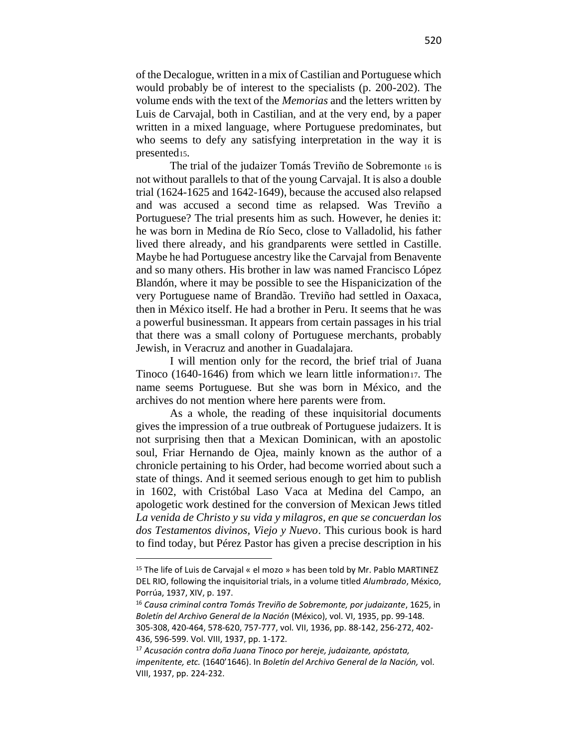of the Decalogue, written in a mix of Castilian and Portuguese which would probably be of interest to the specialists (p. 200-202). The volume ends with the text of the *Memorias* and the letters written by Luis de Carvajal, both in Castilian, and at the very end, by a paper written in a mixed language, where Portuguese predominates, but who seems to defy any satisfying interpretation in the way it is presented15.

The trial of the judaizer Tomás Treviño de Sobremonte <sup>16</sup> is not without parallels to that of the young Carvajal. It is also a double trial (1624-1625 and 1642-1649), because the accused also relapsed and was accused a second time as relapsed. Was Treviño a Portuguese? The trial presents him as such. However, he denies it: he was born in Medina de Río Seco, close to Valladolid, his father lived there already, and his grandparents were settled in Castille. Maybe he had Portuguese ancestry like the Carvajal from Benavente and so many others. His brother in law was named Francisco López Blandón, where it may be possible to see the Hispanicization of the very Portuguese name of Brandão. Treviño had settled in Oaxaca, then in México itself. He had a brother in Peru. It seems that he was a powerful businessman. It appears from certain passages in his trial that there was a small colony of Portuguese merchants, probably Jewish, in Veracruz and another in Guadalajara.

I will mention only for the record, the brief trial of Juana Tinoco (1640-1646) from which we learn little information17. The name seems Portuguese. But she was born in México, and the archives do not mention where here parents were from.

As a whole, the reading of these inquisitorial documents gives the impression of a true outbreak of Portuguese judaizers. It is not surprising then that a Mexican Dominican, with an apostolic soul, Friar Hernando de Ojea, mainly known as the author of a chronicle pertaining to his Order, had become worried about such a state of things. And it seemed serious enough to get him to publish in 1602, with Cristóbal Laso Vaca at Medina del Campo, an apologetic work destined for the conversion of Mexican Jews titled *La venida de Christo y su vida y milagros, en que se concuerdan los dos Testamentos divinos, Viejo y Nuevo*. This curious book is hard to find today, but Pérez Pastor has given a precise description in his

<sup>15</sup> The life of Luis de Carvajal « el mozo » has been told by Mr. Pablo MARTINEZ DEL RIO, following the inquisitorial trials, in a volume titled *Alumbrado*, México, Porrúa, 1937, XIV, p. 197.

<sup>16</sup> *Causa criminal contra Tomás Treviño de Sobremonte, por judaizante*, 1625, in *Boletín del Archivo General de la Nación* (México), vol. VI, 1935, pp. 99-148. 305-308, 420-464, 578-620, 757-777, vol. VII, 1936, pp. 88-142, 256-272, 402- 436, 596-599. Vol. VIII, 1937, pp. 1-172.

<sup>17</sup> *Acusación contra doña Juana Tinoco por hereje, judaizante, apóstata, impenitente, etc.* (1640'1646). In *Boletín del Archivo General de la Nación,* vol. VIII, 1937, pp. 224-232.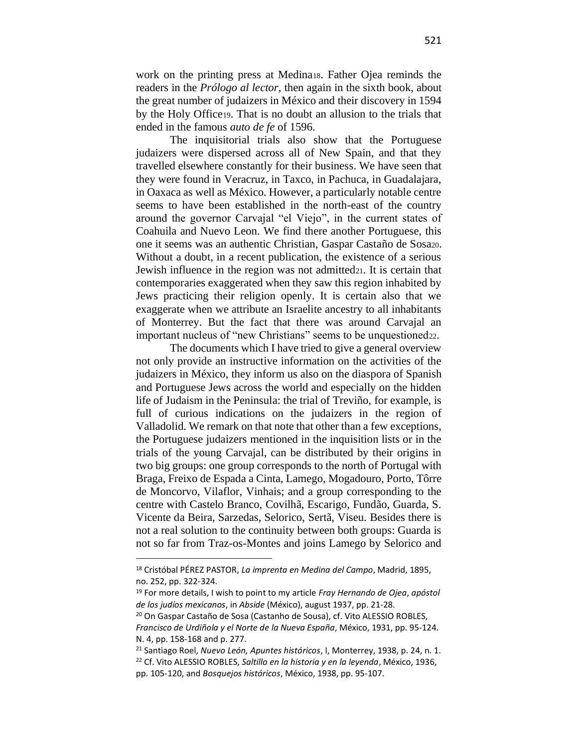work on the printing press at Medina18. Father Ojea reminds the readers in the *Prólogo al lector*, then again in the sixth book, about the great number of judaizers in México and their discovery in 1594 by the Holy Office19. That is no doubt an allusion to the trials that ended in the famous *auto de fe* of 1596.

The inquisitorial trials also show that the Portuguese judaizers were dispersed across all of New Spain, and that they travelled elsewhere constantly for their business. We have seen that they were found in Veracruz, in Taxco, in Pachuca, in Guadalajara, in Oaxaca as well as México. However, a particularly notable centre seems to have been established in the north-east of the country around the governor Carvajal "el Viejo", in the current states of Coahuila and Nuevo Leon. We find there another Portuguese, this one it seems was an authentic Christian, Gaspar Castaño de Sosa20. Without a doubt, in a recent publication, the existence of a serious Jewish influence in the region was not admitted  $21$ . It is certain that contemporaries exaggerated when they saw this region inhabited by Jews practicing their religion openly. It is certain also that we exaggerate when we attribute an Israelite ancestry to all inhabitants of Monterrey. But the fact that there was around Carvajal an important nucleus of "new Christians" seems to be unquestioned 22.

The documents which I have tried to give a general overview not only provide an instructive information on the activities of the judaizers in México, they inform us also on the diaspora of Spanish and Portuguese Jews across the world and especially on the hidden life of Judaism in the Peninsula: the trial of Treviño, for example, is full of curious indications on the judaizers in the region of Valladolid. We remark on that note that other than a few exceptions, the Portuguese judaizers mentioned in the inquisition lists or in the trials of the young Carvajal, can be distributed by their origins in two big groups: one group corresponds to the north of Portugal with Braga, Freixo de Espada a Cinta, Lamego, Mogadouro, Porto, Tôrre de Moncorvo, Vilaflor, Vinhais; and a group corresponding to the centre with Castelo Branco, Covilhã, Escarigo, Fundão, Guarda, S. Vicente da Beira, Sarzedas, Selorico, Sertã, Viseu. Besides there is not a real solution to the continuity between both groups: Guarda is not so far from Traz-os-Montes and joins Lamego by Selorico and

<sup>18</sup> Cristóbal PÉREZ PASTOR, *La imprenta en Medina del Campo*, Madrid, 1895, no. 252, pp. 322-324.

<sup>19</sup> For more details, I wish to point to my article *Fray Hernando de Ojea*, *apóstol de los judíos mexicanos*, in *Abside* (México), august 1937, pp. 21-28.

<sup>&</sup>lt;sup>20</sup> On Gaspar Castaño de Sosa (Castanho de Sousa), cf. Vito ALESSIO ROBLES, *Francisco de Urdiñola y el Norte de la Nueva España*, México, 1931, pp. 95-124. N. 4, pp. 158-168 and p. 277.

<sup>21</sup> Santiago Roel, *Nuevo León, Apuntes históricos*, I, Monterrey, 1938, p. 24, n. 1. <sup>22</sup> Cf. Vito ALESSIO ROBLES, *Saltillo en la historia y en la leyenda*, México, 1936, pp. 105-120, and *Bosquejos históricos*, México, 1938, pp. 95-107.